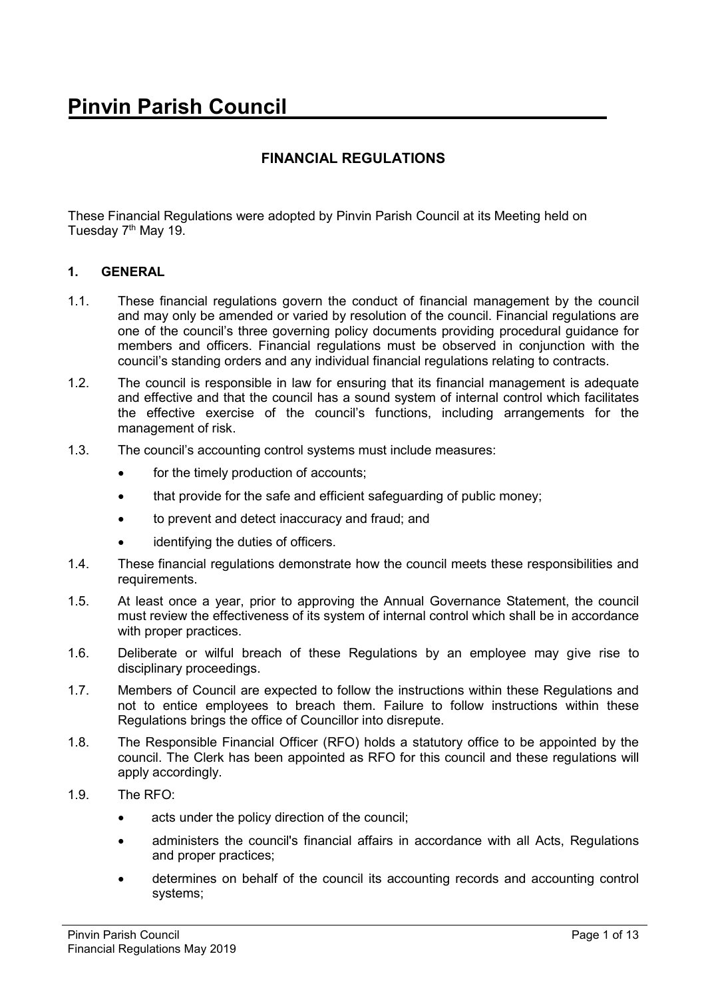# **FINANCIAL REGULATIONS**

These Financial Regulations were adopted by Pinvin Parish Council at its Meeting held on Tuesday 7<sup>th</sup> May 19.

## **1. GENERAL**

- 1.1. These financial regulations govern the conduct of financial management by the council and may only be amended or varied by resolution of the council. Financial regulations are one of the council's three governing policy documents providing procedural guidance for members and officers. Financial regulations must be observed in conjunction with the council's standing orders and any individual financial regulations relating to contracts.
- 1.2. The council is responsible in law for ensuring that its financial management is adequate and effective and that the council has a sound system of internal control which facilitates the effective exercise of the council's functions, including arrangements for the management of risk.
- 1.3. The council's accounting control systems must include measures:
	- for the timely production of accounts:
	- that provide for the safe and efficient safeguarding of public money:
	- to prevent and detect inaccuracy and fraud; and
	- identifying the duties of officers.
- 1.4. These financial regulations demonstrate how the council meets these responsibilities and requirements.
- 1.5. At least once a year, prior to approving the Annual Governance Statement, the council must review the effectiveness of its system of internal control which shall be in accordance with proper practices.
- 1.6. Deliberate or wilful breach of these Regulations by an employee may give rise to disciplinary proceedings.
- 1.7. Members of Council are expected to follow the instructions within these Regulations and not to entice employees to breach them. Failure to follow instructions within these Regulations brings the office of Councillor into disrepute.
- 1.8. The Responsible Financial Officer (RFO) holds a statutory office to be appointed by the council. The Clerk has been appointed as RFO for this council and these regulations will apply accordingly.
- 1.9. The RFO:
	- acts under the policy direction of the council;
	- administers the council's financial affairs in accordance with all Acts, Regulations and proper practices;
	- determines on behalf of the council its accounting records and accounting control systems;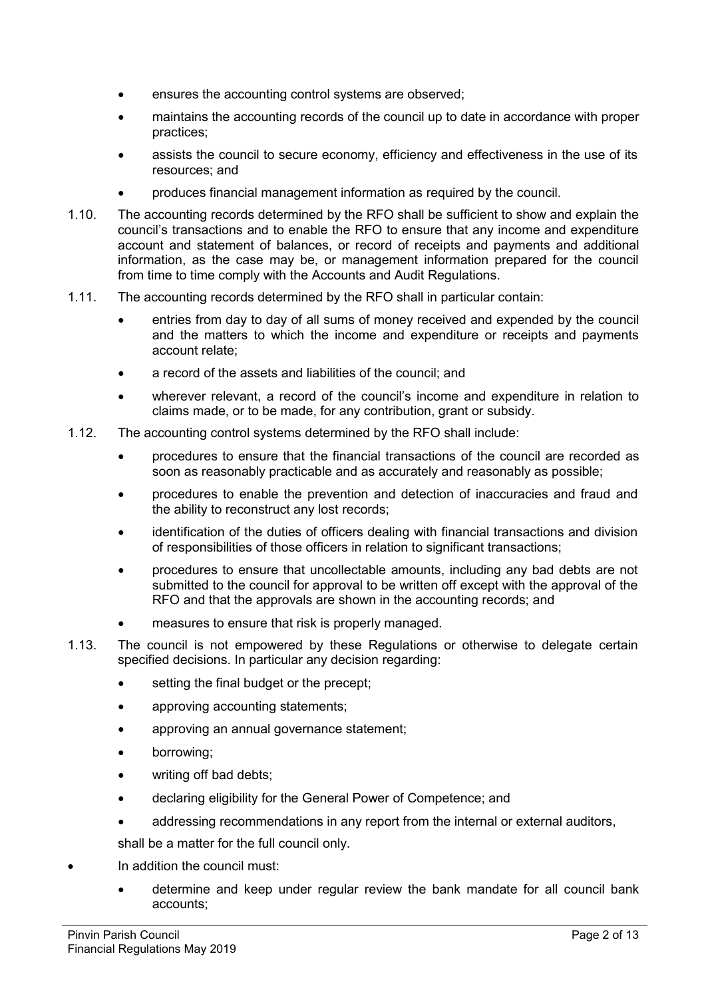- ensures the accounting control systems are observed;
- maintains the accounting records of the council up to date in accordance with proper practices;
- assists the council to secure economy, efficiency and effectiveness in the use of its resources; and
- produces financial management information as required by the council.
- 1.10. The accounting records determined by the RFO shall be sufficient to show and explain the council's transactions and to enable the RFO to ensure that any income and expenditure account and statement of balances, or record of receipts and payments and additional information, as the case may be, or management information prepared for the council from time to time comply with the Accounts and Audit Regulations.
- 1.11. The accounting records determined by the RFO shall in particular contain:
	- entries from day to day of all sums of money received and expended by the council and the matters to which the income and expenditure or receipts and payments account relate;
	- a record of the assets and liabilities of the council; and
	- wherever relevant, a record of the council's income and expenditure in relation to claims made, or to be made, for any contribution, grant or subsidy.
- 1.12. The accounting control systems determined by the RFO shall include:
	- procedures to ensure that the financial transactions of the council are recorded as soon as reasonably practicable and as accurately and reasonably as possible;
	- procedures to enable the prevention and detection of inaccuracies and fraud and the ability to reconstruct any lost records;
	- identification of the duties of officers dealing with financial transactions and division of responsibilities of those officers in relation to significant transactions;
	- procedures to ensure that uncollectable amounts, including any bad debts are not submitted to the council for approval to be written off except with the approval of the RFO and that the approvals are shown in the accounting records; and
	- measures to ensure that risk is properly managed.
- 1.13. The council is not empowered by these Regulations or otherwise to delegate certain specified decisions. In particular any decision regarding:
	- setting the final budget or the precept;
	- approving accounting statements;
	- approving an annual governance statement;
	- borrowing;
	- writing off bad debts:
	- declaring eligibility for the General Power of Competence; and
	- addressing recommendations in any report from the internal or external auditors,

shall be a matter for the full council only.

- In addition the council must:
	- determine and keep under regular review the bank mandate for all council bank accounts;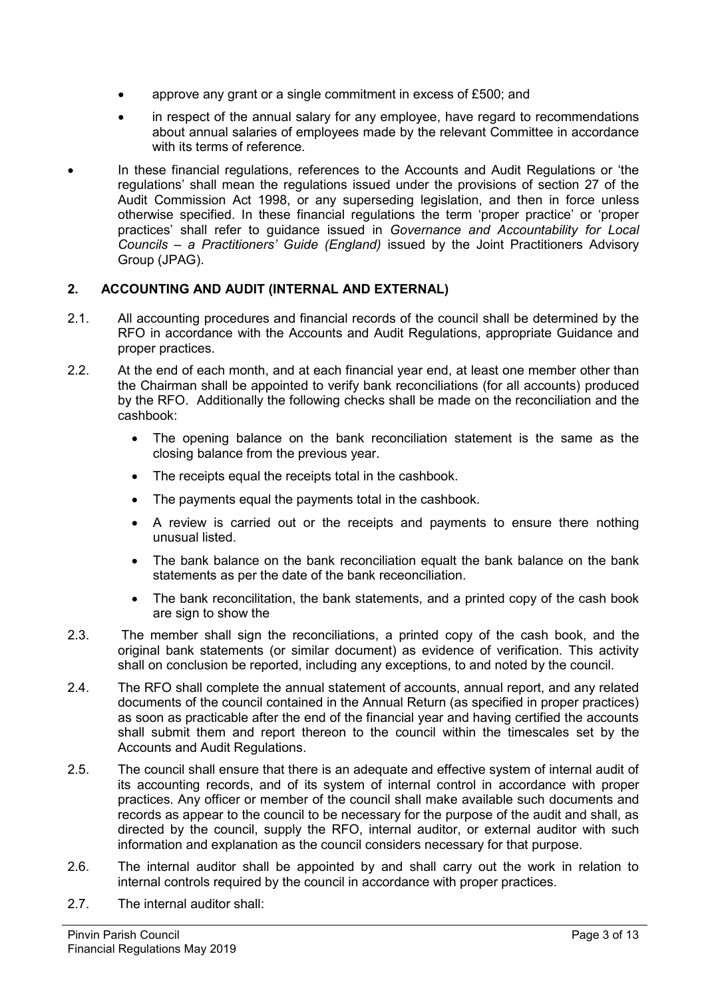- approve any grant or a single commitment in excess of £500; and
- in respect of the annual salary for any employee, have regard to recommendations about annual salaries of employees made by the relevant Committee in accordance with its terms of reference.
- In these financial regulations, references to the Accounts and Audit Regulations or 'the regulations' shall mean the regulations issued under the provisions of section 27 of the Audit Commission Act 1998, or any superseding legislation, and then in force unless otherwise specified. In these financial regulations the term 'proper practice' or 'proper practices' shall refer to guidance issued in *Governance and Accountability for Local Councils – a Practitioners' Guide (England)* issued by the Joint Practitioners Advisory Group (JPAG).

# **2. ACCOUNTING AND AUDIT (INTERNAL AND EXTERNAL)**

- 2.1. All accounting procedures and financial records of the council shall be determined by the RFO in accordance with the Accounts and Audit Regulations, appropriate Guidance and proper practices.
- 2.2. At the end of each month, and at each financial year end, at least one member other than the Chairman shall be appointed to verify bank reconciliations (for all accounts) produced by the RFO. Additionally the following checks shall be made on the reconciliation and the cashbook:
	- The opening balance on the bank reconciliation statement is the same as the closing balance from the previous year.
	- The receipts equal the receipts total in the cashbook.
	- The payments equal the payments total in the cashbook.
	- A review is carried out or the receipts and payments to ensure there nothing unusual listed.
	- The bank balance on the bank reconciliation equalt the bank balance on the bank statements as per the date of the bank receonciliation.
	- The bank reconcilitation, the bank statements, and a printed copy of the cash book are sign to show the
- 2.3. The member shall sign the reconciliations, a printed copy of the cash book, and the original bank statements (or similar document) as evidence of verification. This activity shall on conclusion be reported, including any exceptions, to and noted by the council.
- 2.4. The RFO shall complete the annual statement of accounts, annual report, and any related documents of the council contained in the Annual Return (as specified in proper practices) as soon as practicable after the end of the financial year and having certified the accounts shall submit them and report thereon to the council within the timescales set by the Accounts and Audit Regulations.
- 2.5. The council shall ensure that there is an adequate and effective system of internal audit of its accounting records, and of its system of internal control in accordance with proper practices. Any officer or member of the council shall make available such documents and records as appear to the council to be necessary for the purpose of the audit and shall, as directed by the council, supply the RFO, internal auditor, or external auditor with such information and explanation as the council considers necessary for that purpose.
- 2.6. The internal auditor shall be appointed by and shall carry out the work in relation to internal controls required by the council in accordance with proper practices.
- 2.7. The internal auditor shall: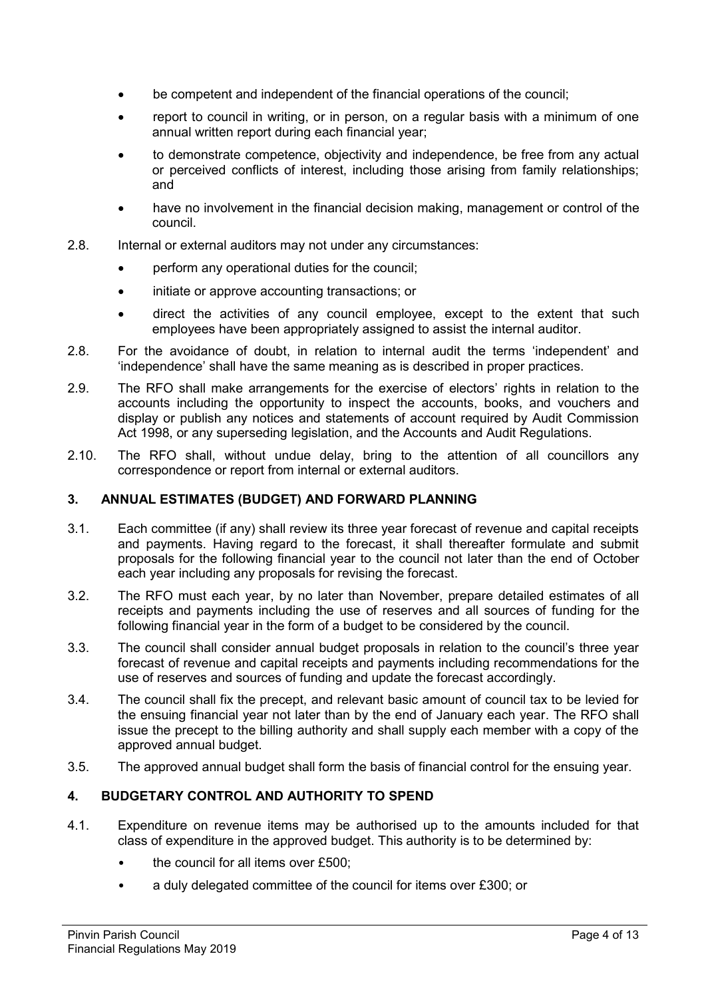- be competent and independent of the financial operations of the council;
- report to council in writing, or in person, on a regular basis with a minimum of one annual written report during each financial year;
- to demonstrate competence, objectivity and independence, be free from any actual or perceived conflicts of interest, including those arising from family relationships; and
- have no involvement in the financial decision making, management or control of the council.
- 2.8. Internal or external auditors may not under any circumstances:
	- perform any operational duties for the council;
	- initiate or approve accounting transactions; or
	- direct the activities of any council employee, except to the extent that such employees have been appropriately assigned to assist the internal auditor.
- 2.8. For the avoidance of doubt, in relation to internal audit the terms 'independent' and 'independence' shall have the same meaning as is described in proper practices.
- 2.9. The RFO shall make arrangements for the exercise of electors' rights in relation to the accounts including the opportunity to inspect the accounts, books, and vouchers and display or publish any notices and statements of account required by Audit Commission Act 1998, or any superseding legislation, and the Accounts and Audit Regulations.
- 2.10. The RFO shall, without undue delay, bring to the attention of all councillors any correspondence or report from internal or external auditors.

## **3. ANNUAL ESTIMATES (BUDGET) AND FORWARD PLANNING**

- 3.1. Each committee (if any) shall review its three year forecast of revenue and capital receipts and payments. Having regard to the forecast, it shall thereafter formulate and submit proposals for the following financial year to the council not later than the end of October each year including any proposals for revising the forecast.
- 3.2. The RFO must each year, by no later than November, prepare detailed estimates of all receipts and payments including the use of reserves and all sources of funding for the following financial year in the form of a budget to be considered by the council.
- 3.3. The council shall consider annual budget proposals in relation to the council's three year forecast of revenue and capital receipts and payments including recommendations for the use of reserves and sources of funding and update the forecast accordingly.
- 3.4. The council shall fix the precept, and relevant basic amount of council tax to be levied for the ensuing financial year not later than by the end of January each year. The RFO shall issue the precept to the billing authority and shall supply each member with a copy of the approved annual budget.
- 3.5. The approved annual budget shall form the basis of financial control for the ensuing year.

## **4. BUDGETARY CONTROL AND AUTHORITY TO SPEND**

- 4.1. Expenditure on revenue items may be authorised up to the amounts included for that class of expenditure in the approved budget. This authority is to be determined by:
	- the council for all items over £500;
	- a duly delegated committee of the council for items over £300; or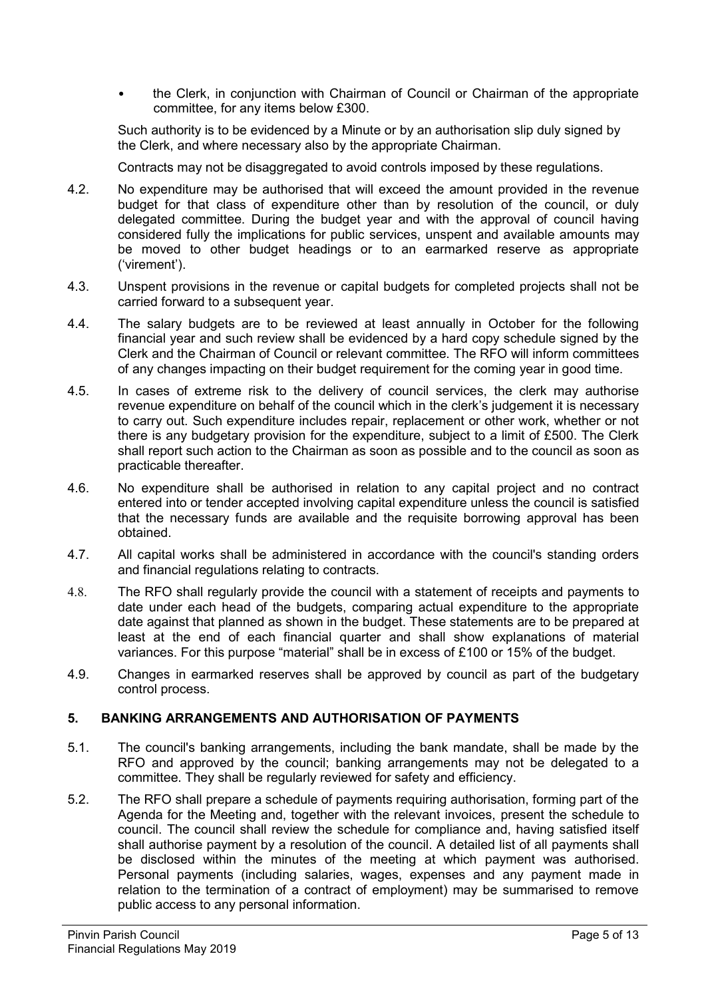• the Clerk, in conjunction with Chairman of Council or Chairman of the appropriate committee, for any items below £300.

Such authority is to be evidenced by a Minute or by an authorisation slip duly signed by the Clerk, and where necessary also by the appropriate Chairman.

Contracts may not be disaggregated to avoid controls imposed by these regulations.

- 4.2. No expenditure may be authorised that will exceed the amount provided in the revenue budget for that class of expenditure other than by resolution of the council, or duly delegated committee. During the budget year and with the approval of council having considered fully the implications for public services, unspent and available amounts may be moved to other budget headings or to an earmarked reserve as appropriate ('virement').
- 4.3. Unspent provisions in the revenue or capital budgets for completed projects shall not be carried forward to a subsequent year.
- 4.4. The salary budgets are to be reviewed at least annually in October for the following financial year and such review shall be evidenced by a hard copy schedule signed by the Clerk and the Chairman of Council or relevant committee. The RFO will inform committees of any changes impacting on their budget requirement for the coming year in good time.
- 4.5. In cases of extreme risk to the delivery of council services, the clerk may authorise revenue expenditure on behalf of the council which in the clerk's judgement it is necessary to carry out. Such expenditure includes repair, replacement or other work, whether or not there is any budgetary provision for the expenditure, subject to a limit of £500. The Clerk shall report such action to the Chairman as soon as possible and to the council as soon as practicable thereafter.
- 4.6. No expenditure shall be authorised in relation to any capital project and no contract entered into or tender accepted involving capital expenditure unless the council is satisfied that the necessary funds are available and the requisite borrowing approval has been obtained.
- 4.7. All capital works shall be administered in accordance with the council's standing orders and financial regulations relating to contracts.
- 4.8. The RFO shall regularly provide the council with a statement of receipts and payments to date under each head of the budgets, comparing actual expenditure to the appropriate date against that planned as shown in the budget. These statements are to be prepared at least at the end of each financial quarter and shall show explanations of material variances. For this purpose "material" shall be in excess of £100 or 15% of the budget.
- 4.9. Changes in earmarked reserves shall be approved by council as part of the budgetary control process.

# **5. BANKING ARRANGEMENTS AND AUTHORISATION OF PAYMENTS**

- 5.1. The council's banking arrangements, including the bank mandate, shall be made by the RFO and approved by the council; banking arrangements may not be delegated to a committee. They shall be regularly reviewed for safety and efficiency.
- 5.2. The RFO shall prepare a schedule of payments requiring authorisation, forming part of the Agenda for the Meeting and, together with the relevant invoices, present the schedule to council. The council shall review the schedule for compliance and, having satisfied itself shall authorise payment by a resolution of the council. A detailed list of all payments shall be disclosed within the minutes of the meeting at which payment was authorised. Personal payments (including salaries, wages, expenses and any payment made in relation to the termination of a contract of employment) may be summarised to remove public access to any personal information.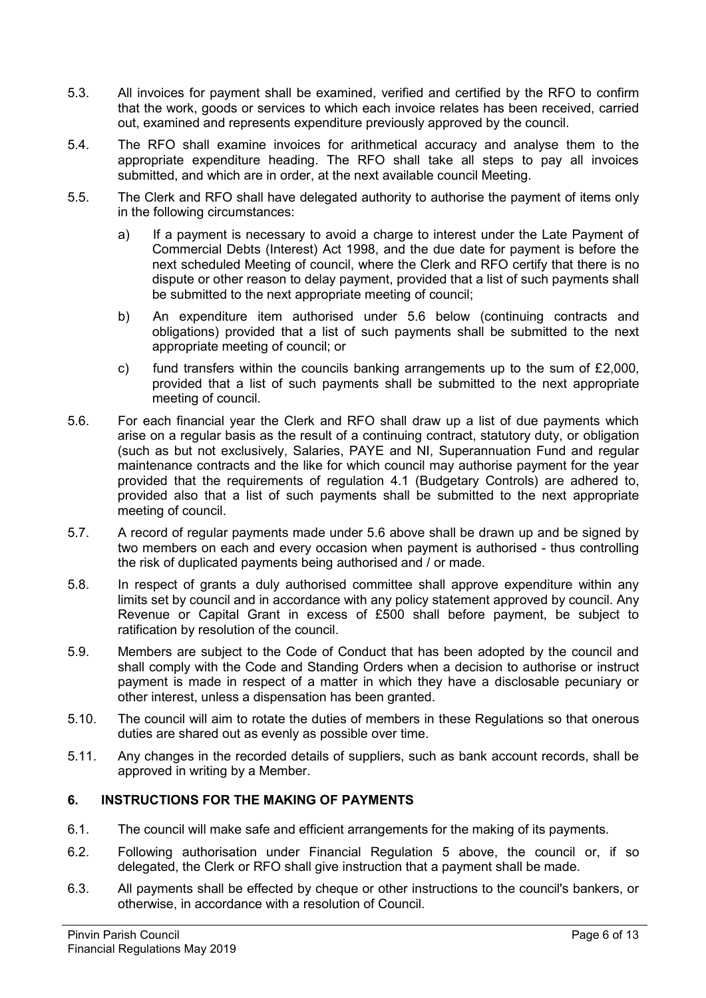- 5.3. All invoices for payment shall be examined, verified and certified by the RFO to confirm that the work, goods or services to which each invoice relates has been received, carried out, examined and represents expenditure previously approved by the council.
- 5.4. The RFO shall examine invoices for arithmetical accuracy and analyse them to the appropriate expenditure heading. The RFO shall take all steps to pay all invoices submitted, and which are in order, at the next available council Meeting.
- 5.5. The Clerk and RFO shall have delegated authority to authorise the payment of items only in the following circumstances:
	- a) If a payment is necessary to avoid a charge to interest under the Late Payment of Commercial Debts (Interest) Act 1998, and the due date for payment is before the next scheduled Meeting of council, where the Clerk and RFO certify that there is no dispute or other reason to delay payment, provided that a list of such payments shall be submitted to the next appropriate meeting of council;
	- b) An expenditure item authorised under 5.6 below (continuing contracts and obligations) provided that a list of such payments shall be submitted to the next appropriate meeting of council; or
	- c) fund transfers within the councils banking arrangements up to the sum of  $£2,000$ , provided that a list of such payments shall be submitted to the next appropriate meeting of council.
- 5.6. For each financial year the Clerk and RFO shall draw up a list of due payments which arise on a regular basis as the result of a continuing contract, statutory duty, or obligation (such as but not exclusively, Salaries, PAYE and NI, Superannuation Fund and regular maintenance contracts and the like for which council may authorise payment for the year provided that the requirements of regulation 4.1 (Budgetary Controls) are adhered to, provided also that a list of such payments shall be submitted to the next appropriate meeting of council.
- 5.7. A record of regular payments made under 5.6 above shall be drawn up and be signed by two members on each and every occasion when payment is authorised - thus controlling the risk of duplicated payments being authorised and / or made.
- 5.8. In respect of grants a duly authorised committee shall approve expenditure within any limits set by council and in accordance with any policy statement approved by council. Any Revenue or Capital Grant in excess of £500 shall before payment, be subject to ratification by resolution of the council.
- 5.9. Members are subject to the Code of Conduct that has been adopted by the council and shall comply with the Code and Standing Orders when a decision to authorise or instruct payment is made in respect of a matter in which they have a disclosable pecuniary or other interest, unless a dispensation has been granted.
- 5.10. The council will aim to rotate the duties of members in these Regulations so that onerous duties are shared out as evenly as possible over time.
- 5.11. Any changes in the recorded details of suppliers, such as bank account records, shall be approved in writing by a Member.

# **6. INSTRUCTIONS FOR THE MAKING OF PAYMENTS**

- 6.1. The council will make safe and efficient arrangements for the making of its payments.
- 6.2. Following authorisation under Financial Regulation 5 above, the council or, if so delegated, the Clerk or RFO shall give instruction that a payment shall be made.
- 6.3. All payments shall be effected by cheque or other instructions to the council's bankers, or otherwise, in accordance with a resolution of Council.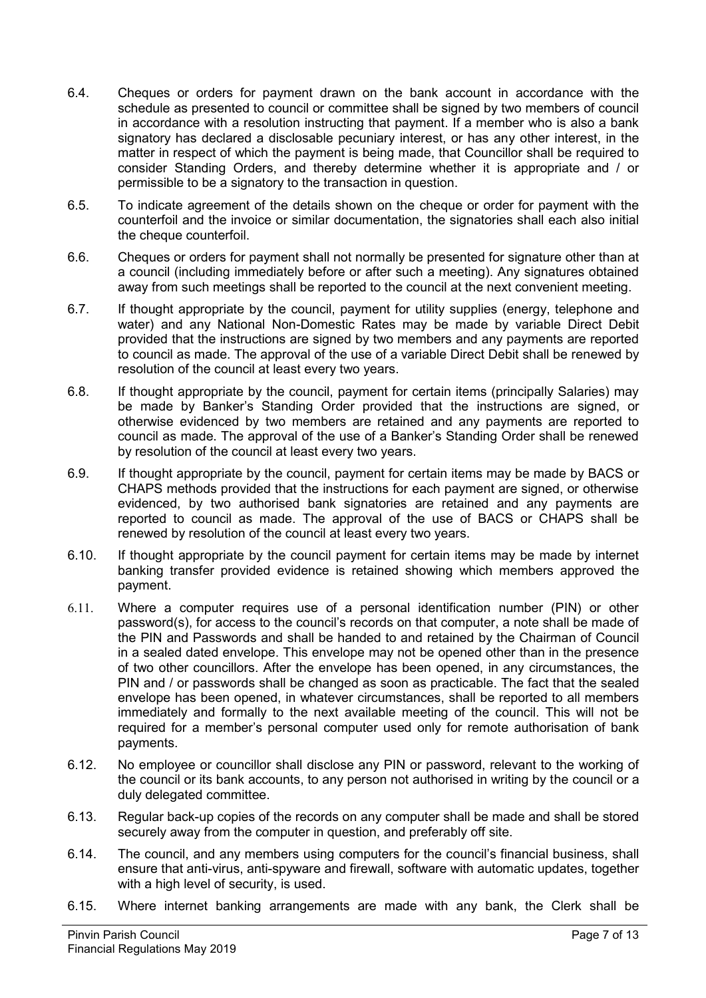- 6.4. Cheques or orders for payment drawn on the bank account in accordance with the schedule as presented to council or committee shall be signed by two members of council in accordance with a resolution instructing that payment. If a member who is also a bank signatory has declared a disclosable pecuniary interest, or has any other interest, in the matter in respect of which the payment is being made, that Councillor shall be required to consider Standing Orders, and thereby determine whether it is appropriate and / or permissible to be a signatory to the transaction in question.
- 6.5. To indicate agreement of the details shown on the cheque or order for payment with the counterfoil and the invoice or similar documentation, the signatories shall each also initial the cheque counterfoil.
- 6.6. Cheques or orders for payment shall not normally be presented for signature other than at a council (including immediately before or after such a meeting). Any signatures obtained away from such meetings shall be reported to the council at the next convenient meeting.
- 6.7. If thought appropriate by the council, payment for utility supplies (energy, telephone and water) and any National Non-Domestic Rates may be made by variable Direct Debit provided that the instructions are signed by two members and any payments are reported to council as made. The approval of the use of a variable Direct Debit shall be renewed by resolution of the council at least every two years.
- 6.8. If thought appropriate by the council, payment for certain items (principally Salaries) may be made by Banker's Standing Order provided that the instructions are signed, or otherwise evidenced by two members are retained and any payments are reported to council as made. The approval of the use of a Banker's Standing Order shall be renewed by resolution of the council at least every two years.
- 6.9. If thought appropriate by the council, payment for certain items may be made by BACS or CHAPS methods provided that the instructions for each payment are signed, or otherwise evidenced, by two authorised bank signatories are retained and any payments are reported to council as made. The approval of the use of BACS or CHAPS shall be renewed by resolution of the council at least every two years.
- 6.10. If thought appropriate by the council payment for certain items may be made by internet banking transfer provided evidence is retained showing which members approved the payment.
- 6.11. Where a computer requires use of a personal identification number (PIN) or other password(s), for access to the council's records on that computer, a note shall be made of the PIN and Passwords and shall be handed to and retained by the Chairman of Council in a sealed dated envelope. This envelope may not be opened other than in the presence of two other councillors. After the envelope has been opened, in any circumstances, the PIN and / or passwords shall be changed as soon as practicable. The fact that the sealed envelope has been opened, in whatever circumstances, shall be reported to all members immediately and formally to the next available meeting of the council. This will not be required for a member's personal computer used only for remote authorisation of bank payments.
- 6.12. No employee or councillor shall disclose any PIN or password, relevant to the working of the council or its bank accounts, to any person not authorised in writing by the council or a duly delegated committee.
- 6.13. Regular back-up copies of the records on any computer shall be made and shall be stored securely away from the computer in question, and preferably off site.
- 6.14. The council, and any members using computers for the council's financial business, shall ensure that anti-virus, anti-spyware and firewall, software with automatic updates, together with a high level of security, is used.
- 6.15. Where internet banking arrangements are made with any bank, the Clerk shall be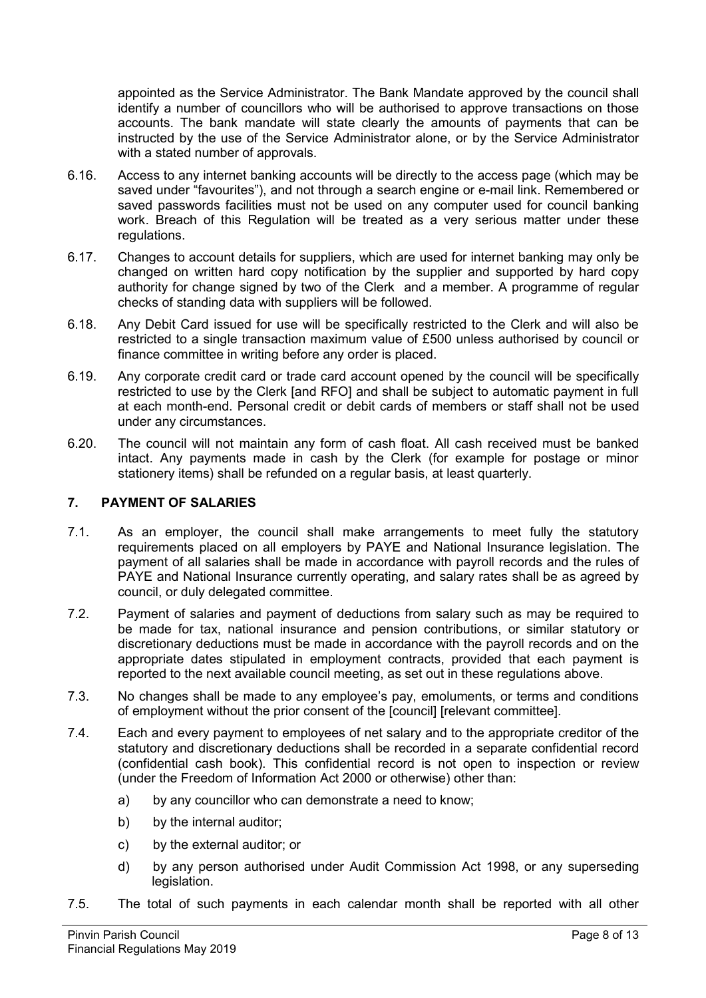appointed as the Service Administrator. The Bank Mandate approved by the council shall identify a number of councillors who will be authorised to approve transactions on those accounts. The bank mandate will state clearly the amounts of payments that can be instructed by the use of the Service Administrator alone, or by the Service Administrator with a stated number of approvals.

- 6.16. Access to any internet banking accounts will be directly to the access page (which may be saved under "favourites"), and not through a search engine or e-mail link. Remembered or saved passwords facilities must not be used on any computer used for council banking work. Breach of this Regulation will be treated as a very serious matter under these regulations.
- 6.17. Changes to account details for suppliers, which are used for internet banking may only be changed on written hard copy notification by the supplier and supported by hard copy authority for change signed by two of the Clerk and a member. A programme of regular checks of standing data with suppliers will be followed.
- 6.18. Any Debit Card issued for use will be specifically restricted to the Clerk and will also be restricted to a single transaction maximum value of £500 unless authorised by council or finance committee in writing before any order is placed.
- 6.19. Any corporate credit card or trade card account opened by the council will be specifically restricted to use by the Clerk [and RFO] and shall be subject to automatic payment in full at each month-end. Personal credit or debit cards of members or staff shall not be used under any circumstances.
- 6.20. The council will not maintain any form of cash float. All cash received must be banked intact. Any payments made in cash by the Clerk (for example for postage or minor stationery items) shall be refunded on a regular basis, at least quarterly.

# **7. PAYMENT OF SALARIES**

- 7.1. As an employer, the council shall make arrangements to meet fully the statutory requirements placed on all employers by PAYE and National Insurance legislation. The payment of all salaries shall be made in accordance with payroll records and the rules of PAYE and National Insurance currently operating, and salary rates shall be as agreed by council, or duly delegated committee.
- 7.2. Payment of salaries and payment of deductions from salary such as may be required to be made for tax, national insurance and pension contributions, or similar statutory or discretionary deductions must be made in accordance with the payroll records and on the appropriate dates stipulated in employment contracts, provided that each payment is reported to the next available council meeting, as set out in these regulations above.
- 7.3. No changes shall be made to any employee's pay, emoluments, or terms and conditions of employment without the prior consent of the [council] [relevant committee].
- 7.4. Each and every payment to employees of net salary and to the appropriate creditor of the statutory and discretionary deductions shall be recorded in a separate confidential record (confidential cash book). This confidential record is not open to inspection or review (under the Freedom of Information Act 2000 or otherwise) other than:
	- a) by any councillor who can demonstrate a need to know;
	- b) by the internal auditor;
	- c) by the external auditor; or
	- d) by any person authorised under Audit Commission Act 1998, or any superseding legislation.
- 7.5. The total of such payments in each calendar month shall be reported with all other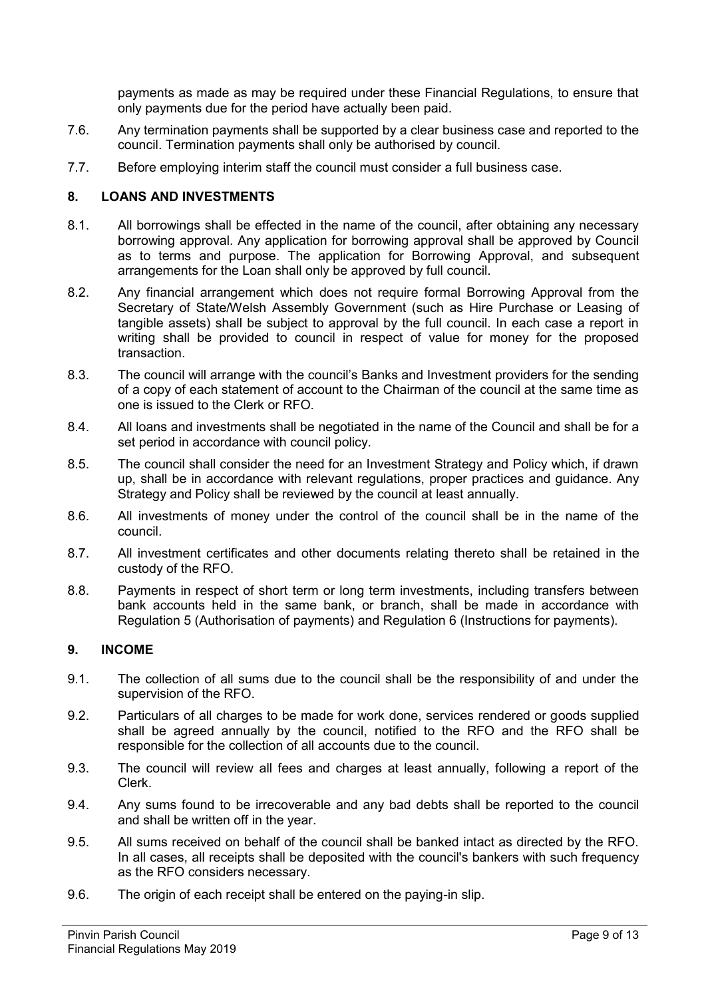payments as made as may be required under these Financial Regulations, to ensure that only payments due for the period have actually been paid.

- 7.6. Any termination payments shall be supported by a clear business case and reported to the council. Termination payments shall only be authorised by council.
- 7.7. Before employing interim staff the council must consider a full business case.

#### **8. LOANS AND INVESTMENTS**

- 8.1. All borrowings shall be effected in the name of the council, after obtaining any necessary borrowing approval. Any application for borrowing approval shall be approved by Council as to terms and purpose. The application for Borrowing Approval, and subsequent arrangements for the Loan shall only be approved by full council.
- 8.2. Any financial arrangement which does not require formal Borrowing Approval from the Secretary of State/Welsh Assembly Government (such as Hire Purchase or Leasing of tangible assets) shall be subject to approval by the full council. In each case a report in writing shall be provided to council in respect of value for money for the proposed transaction.
- 8.3. The council will arrange with the council's Banks and Investment providers for the sending of a copy of each statement of account to the Chairman of the council at the same time as one is issued to the Clerk or RFO.
- 8.4. All loans and investments shall be negotiated in the name of the Council and shall be for a set period in accordance with council policy.
- 8.5. The council shall consider the need for an Investment Strategy and Policy which, if drawn up, shall be in accordance with relevant regulations, proper practices and guidance. Any Strategy and Policy shall be reviewed by the council at least annually.
- 8.6. All investments of money under the control of the council shall be in the name of the council.
- 8.7. All investment certificates and other documents relating thereto shall be retained in the custody of the RFO.
- 8.8. Payments in respect of short term or long term investments, including transfers between bank accounts held in the same bank, or branch, shall be made in accordance with Regulation 5 (Authorisation of payments) and Regulation 6 (Instructions for payments).

#### **9. INCOME**

- 9.1. The collection of all sums due to the council shall be the responsibility of and under the supervision of the RFO.
- 9.2. Particulars of all charges to be made for work done, services rendered or goods supplied shall be agreed annually by the council, notified to the RFO and the RFO shall be responsible for the collection of all accounts due to the council.
- 9.3. The council will review all fees and charges at least annually, following a report of the Clerk.
- 9.4. Any sums found to be irrecoverable and any bad debts shall be reported to the council and shall be written off in the year.
- 9.5. All sums received on behalf of the council shall be banked intact as directed by the RFO. In all cases, all receipts shall be deposited with the council's bankers with such frequency as the RFO considers necessary.
- 9.6. The origin of each receipt shall be entered on the paying-in slip.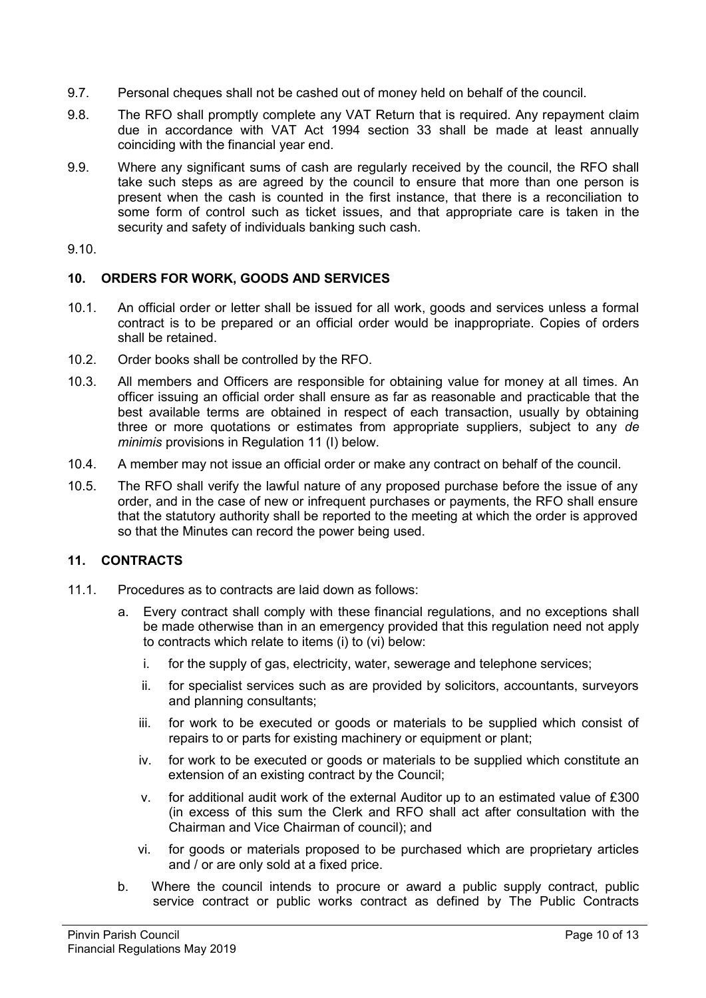- 9.7. Personal cheques shall not be cashed out of money held on behalf of the council.
- 9.8. The RFO shall promptly complete any VAT Return that is required. Any repayment claim due in accordance with VAT Act 1994 section 33 shall be made at least annually coinciding with the financial year end.
- 9.9. Where any significant sums of cash are regularly received by the council, the RFO shall take such steps as are agreed by the council to ensure that more than one person is present when the cash is counted in the first instance, that there is a reconciliation to some form of control such as ticket issues, and that appropriate care is taken in the security and safety of individuals banking such cash.
- 9.10.

## **10. ORDERS FOR WORK, GOODS AND SERVICES**

- 10.1. An official order or letter shall be issued for all work, goods and services unless a formal contract is to be prepared or an official order would be inappropriate. Copies of orders shall be retained.
- 10.2. Order books shall be controlled by the RFO.
- 10.3. All members and Officers are responsible for obtaining value for money at all times. An officer issuing an official order shall ensure as far as reasonable and practicable that the best available terms are obtained in respect of each transaction, usually by obtaining three or more quotations or estimates from appropriate suppliers, subject to any *de minimis* provisions in Regulation 11 (I) below.
- 10.4. A member may not issue an official order or make any contract on behalf of the council.
- 10.5. The RFO shall verify the lawful nature of any proposed purchase before the issue of any order, and in the case of new or infrequent purchases or payments, the RFO shall ensure that the statutory authority shall be reported to the meeting at which the order is approved so that the Minutes can record the power being used.

# **11. CONTRACTS**

- 11.1. Procedures as to contracts are laid down as follows:
	- a. Every contract shall comply with these financial regulations, and no exceptions shall be made otherwise than in an emergency provided that this regulation need not apply to contracts which relate to items (i) to (vi) below:
		- i. for the supply of gas, electricity, water, sewerage and telephone services;
		- ii. for specialist services such as are provided by solicitors, accountants, surveyors and planning consultants;
		- iii. for work to be executed or goods or materials to be supplied which consist of repairs to or parts for existing machinery or equipment or plant;
		- iv. for work to be executed or goods or materials to be supplied which constitute an extension of an existing contract by the Council;
		- v. for additional audit work of the external Auditor up to an estimated value of £300 (in excess of this sum the Clerk and RFO shall act after consultation with the Chairman and Vice Chairman of council); and
		- vi. for goods or materials proposed to be purchased which are proprietary articles and / or are only sold at a fixed price.
	- b. Where the council intends to procure or award a public supply contract, public service contract or public works contract as defined by The Public Contracts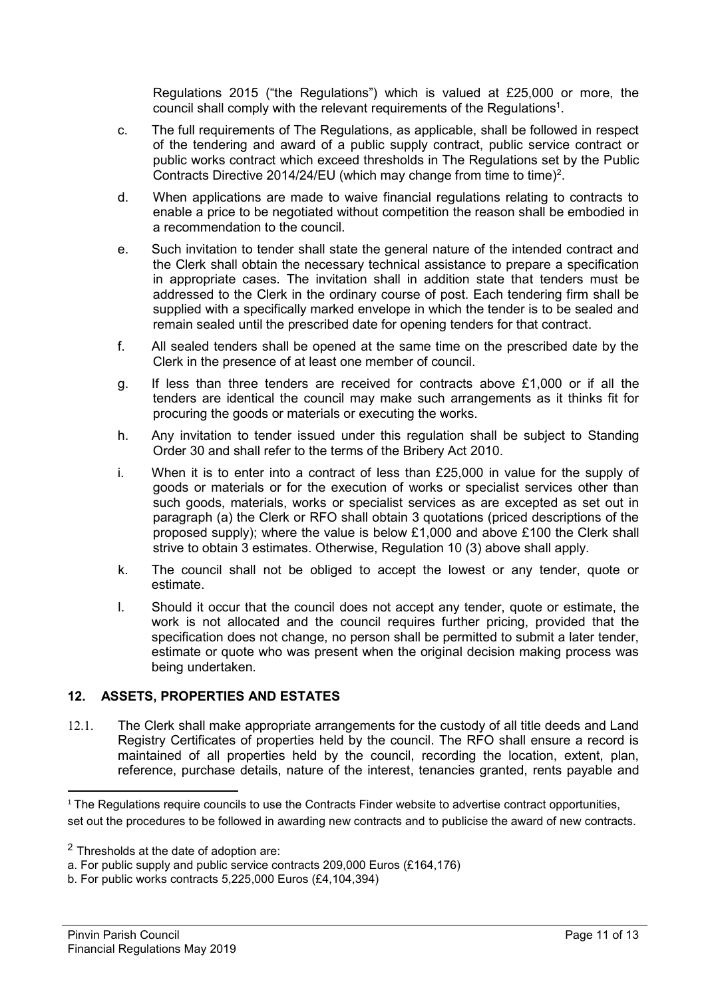Regulations 2015 ("the Regulations") which is valued at £25,000 or more, the council shall comply with the relevant requirements of the Regulations<sup>1</sup>.

- c. The full requirements of The Regulations, as applicable, shall be followed in respect of the tendering and award of a public supply contract, public service contract or public works contract which exceed thresholds in The Regulations set by the Public Contracts Directive 2014/24/EU (which may change from time to time)<sup>2</sup>.
- d. When applications are made to waive financial regulations relating to contracts to enable a price to be negotiated without competition the reason shall be embodied in a recommendation to the council.
- e. Such invitation to tender shall state the general nature of the intended contract and the Clerk shall obtain the necessary technical assistance to prepare a specification in appropriate cases. The invitation shall in addition state that tenders must be addressed to the Clerk in the ordinary course of post. Each tendering firm shall be supplied with a specifically marked envelope in which the tender is to be sealed and remain sealed until the prescribed date for opening tenders for that contract.
- f. All sealed tenders shall be opened at the same time on the prescribed date by the Clerk in the presence of at least one member of council.
- g. If less than three tenders are received for contracts above £1,000 or if all the tenders are identical the council may make such arrangements as it thinks fit for procuring the goods or materials or executing the works.
- h. Any invitation to tender issued under this regulation shall be subject to Standing Order 30 and shall refer to the terms of the Bribery Act 2010.
- i. When it is to enter into a contract of less than  $£25,000$  in value for the supply of goods or materials or for the execution of works or specialist services other than such goods, materials, works or specialist services as are excepted as set out in paragraph (a) the Clerk or RFO shall obtain 3 quotations (priced descriptions of the proposed supply); where the value is below £1,000 and above £100 the Clerk shall strive to obtain 3 estimates. Otherwise, Regulation 10 (3) above shall apply.
- k. The council shall not be obliged to accept the lowest or any tender, quote or estimate.
- l. Should it occur that the council does not accept any tender, quote or estimate, the work is not allocated and the council requires further pricing, provided that the specification does not change, no person shall be permitted to submit a later tender, estimate or quote who was present when the original decision making process was being undertaken.

# **12. ASSETS, PROPERTIES AND ESTATES**

12.1. The Clerk shall make appropriate arrangements for the custody of all title deeds and Land Registry Certificates of properties held by the council. The RFO shall ensure a record is maintained of all properties held by the council, recording the location, extent, plan, reference, purchase details, nature of the interest, tenancies granted, rents payable and

 $\overline{a}$ 

<sup>&</sup>lt;sup>1</sup> The Regulations require councils to use the Contracts Finder website to advertise contract opportunities, set out the procedures to be followed in awarding new contracts and to publicise the award of new contracts.

<sup>2</sup> Thresholds at the date of adoption are:

a. For public supply and public service contracts 209,000 Euros (£164,176)

b. For public works contracts 5,225,000 Euros (£4,104,394)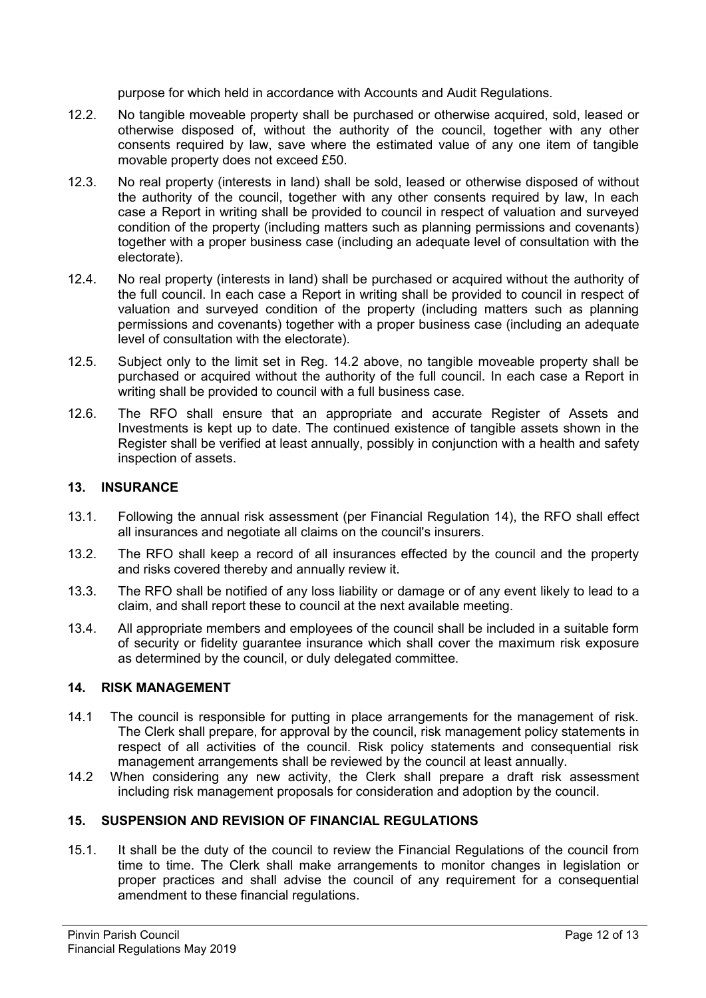purpose for which held in accordance with Accounts and Audit Regulations.

- 12.2. No tangible moveable property shall be purchased or otherwise acquired, sold, leased or otherwise disposed of, without the authority of the council, together with any other consents required by law, save where the estimated value of any one item of tangible movable property does not exceed £50.
- 12.3. No real property (interests in land) shall be sold, leased or otherwise disposed of without the authority of the council, together with any other consents required by law, In each case a Report in writing shall be provided to council in respect of valuation and surveyed condition of the property (including matters such as planning permissions and covenants) together with a proper business case (including an adequate level of consultation with the electorate).
- 12.4. No real property (interests in land) shall be purchased or acquired without the authority of the full council. In each case a Report in writing shall be provided to council in respect of valuation and surveyed condition of the property (including matters such as planning permissions and covenants) together with a proper business case (including an adequate level of consultation with the electorate).
- 12.5. Subject only to the limit set in Reg. 14.2 above, no tangible moveable property shall be purchased or acquired without the authority of the full council. In each case a Report in writing shall be provided to council with a full business case.
- 12.6. The RFO shall ensure that an appropriate and accurate Register of Assets and Investments is kept up to date. The continued existence of tangible assets shown in the Register shall be verified at least annually, possibly in conjunction with a health and safety inspection of assets.

# **13. INSURANCE**

- 13.1. Following the annual risk assessment (per Financial Regulation 14), the RFO shall effect all insurances and negotiate all claims on the council's insurers.
- 13.2. The RFO shall keep a record of all insurances effected by the council and the property and risks covered thereby and annually review it.
- 13.3. The RFO shall be notified of any loss liability or damage or of any event likely to lead to a claim, and shall report these to council at the next available meeting.
- 13.4. All appropriate members and employees of the council shall be included in a suitable form of security or fidelity guarantee insurance which shall cover the maximum risk exposure as determined by the council, or duly delegated committee.

## **14. RISK MANAGEMENT**

- 14.1 The council is responsible for putting in place arrangements for the management of risk. The Clerk shall prepare, for approval by the council, risk management policy statements in respect of all activities of the council. Risk policy statements and consequential risk management arrangements shall be reviewed by the council at least annually.
- 14.2 When considering any new activity, the Clerk shall prepare a draft risk assessment including risk management proposals for consideration and adoption by the council.

# **15. SUSPENSION AND REVISION OF FINANCIAL REGULATIONS**

15.1. It shall be the duty of the council to review the Financial Regulations of the council from time to time. The Clerk shall make arrangements to monitor changes in legislation or proper practices and shall advise the council of any requirement for a consequential amendment to these financial regulations.